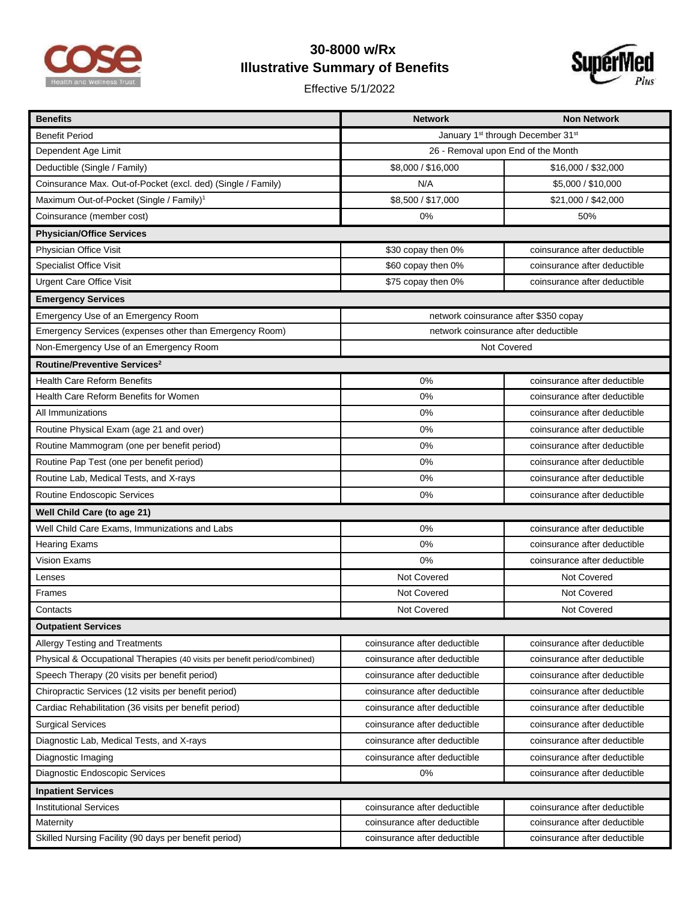

## **30-8000 w/Rx Illustrative Summary of Benefits**

Effective 5/1/2022



| <b>Benefits</b>                                                           | <b>Network</b>                        | <b>Non Network</b>           |  |
|---------------------------------------------------------------------------|---------------------------------------|------------------------------|--|
| <b>Benefit Period</b>                                                     | January 1st through December 31st     |                              |  |
| Dependent Age Limit                                                       | 26 - Removal upon End of the Month    |                              |  |
| Deductible (Single / Family)                                              | \$8,000 / \$16,000                    | \$16,000 / \$32,000          |  |
| Coinsurance Max. Out-of-Pocket (excl. ded) (Single / Family)              | N/A                                   | \$5,000 / \$10,000           |  |
| Maximum Out-of-Pocket (Single / Family) <sup>1</sup>                      | \$8,500 / \$17,000                    | \$21,000 / \$42,000          |  |
| Coinsurance (member cost)                                                 | 0%                                    | 50%                          |  |
| <b>Physician/Office Services</b>                                          |                                       |                              |  |
| Physician Office Visit                                                    | \$30 copay then 0%                    | coinsurance after deductible |  |
| Specialist Office Visit                                                   | \$60 copay then 0%                    | coinsurance after deductible |  |
| <b>Urgent Care Office Visit</b>                                           | \$75 copay then 0%                    | coinsurance after deductible |  |
| <b>Emergency Services</b>                                                 |                                       |                              |  |
| Emergency Use of an Emergency Room                                        | network coinsurance after \$350 copay |                              |  |
| Emergency Services (expenses other than Emergency Room)                   | network coinsurance after deductible  |                              |  |
| Non-Emergency Use of an Emergency Room                                    | Not Covered                           |                              |  |
| Routine/Preventive Services <sup>2</sup>                                  |                                       |                              |  |
| <b>Health Care Reform Benefits</b>                                        | 0%                                    | coinsurance after deductible |  |
| Health Care Reform Benefits for Women                                     | 0%                                    | coinsurance after deductible |  |
| All Immunizations                                                         | 0%                                    | coinsurance after deductible |  |
| Routine Physical Exam (age 21 and over)                                   | 0%                                    | coinsurance after deductible |  |
| Routine Mammogram (one per benefit period)                                | 0%                                    | coinsurance after deductible |  |
| Routine Pap Test (one per benefit period)                                 | 0%                                    | coinsurance after deductible |  |
| Routine Lab, Medical Tests, and X-rays                                    | 0%                                    | coinsurance after deductible |  |
| Routine Endoscopic Services                                               | 0%                                    | coinsurance after deductible |  |
| Well Child Care (to age 21)                                               |                                       |                              |  |
| Well Child Care Exams, Immunizations and Labs                             | 0%                                    | coinsurance after deductible |  |
| <b>Hearing Exams</b>                                                      | 0%                                    | coinsurance after deductible |  |
| <b>Vision Exams</b>                                                       | 0%                                    | coinsurance after deductible |  |
| Lenses                                                                    | Not Covered                           | Not Covered                  |  |
| <b>Frames</b>                                                             | Not Covered                           | Not Covered                  |  |
| Contacts                                                                  | Not Covered                           | Not Covered                  |  |
| Outpatient Services                                                       |                                       |                              |  |
| <b>Allergy Testing and Treatments</b>                                     | coinsurance after deductible          | coinsurance after deductible |  |
| Physical & Occupational Therapies (40 visits per benefit period/combined) | coinsurance after deductible          | coinsurance after deductible |  |
| Speech Therapy (20 visits per benefit period)                             | coinsurance after deductible          | coinsurance after deductible |  |
| Chiropractic Services (12 visits per benefit period)                      | coinsurance after deductible          | coinsurance after deductible |  |
| Cardiac Rehabilitation (36 visits per benefit period)                     | coinsurance after deductible          | coinsurance after deductible |  |
| <b>Surgical Services</b>                                                  | coinsurance after deductible          | coinsurance after deductible |  |
| Diagnostic Lab, Medical Tests, and X-rays                                 | coinsurance after deductible          | coinsurance after deductible |  |
| Diagnostic Imaging                                                        | coinsurance after deductible          | coinsurance after deductible |  |
| Diagnostic Endoscopic Services                                            | 0%                                    | coinsurance after deductible |  |
| <b>Inpatient Services</b>                                                 |                                       |                              |  |
| <b>Institutional Services</b>                                             | coinsurance after deductible          | coinsurance after deductible |  |
| Maternity                                                                 | coinsurance after deductible          | coinsurance after deductible |  |
| Skilled Nursing Facility (90 days per benefit period)                     | coinsurance after deductible          | coinsurance after deductible |  |